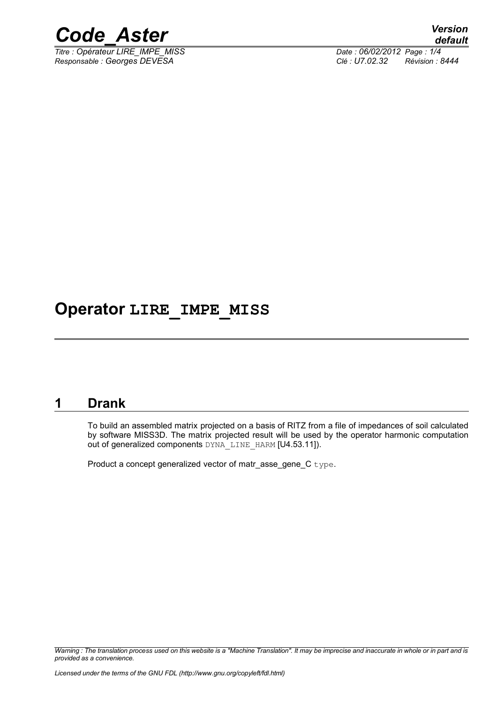

 $\overline{T}$ *Titre : Opérateur LIRE\_IMPE\_MISS Responsable : Georges DEVESA Clé : U7.02.32 Révision : 8444*

## **Operator LIRE\_IMPE\_MISS**

#### **1 Drank**

To build an assembled matrix projected on a basis of RITZ from a file of impedances of soil calculated by software MISS3D. The matrix projected result will be used by the operator harmonic computation out of generalized components DYNA\_LINE\_HARM [U4.53.11]).

Product a concept generalized vector of matr asse\_gene\_C type.

*Warning : The translation process used on this website is a "Machine Translation". It may be imprecise and inaccurate in whole or in part and is provided as a convenience.*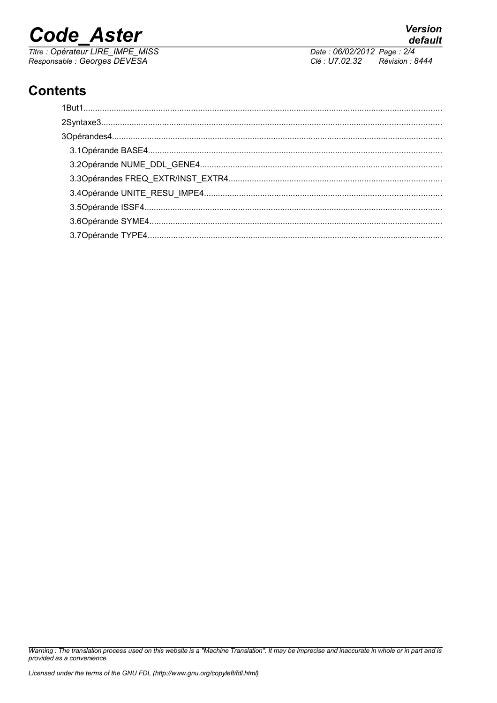# **Code Aster**

Titre : Opérateur LIRE\_IMPE\_MISS Responsable : Georges DEVESA

default Date: 06/02/2012 Page: 2/4 Clé : U7.02.32 Révision : 8444

**Version** 

### **Contents**

Warning : The translation process used on this website is a "Machine Translation". It may be imprecise and inaccurate in whole or in part and is provided as a convenience.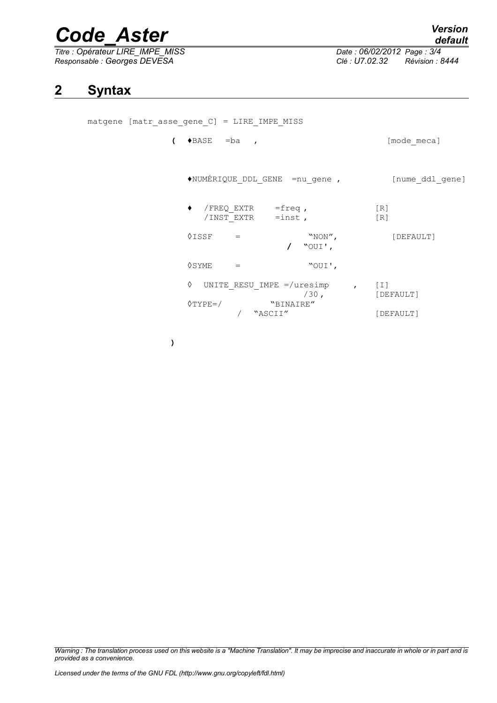# *Code\_Aster Version*

 $\overline{T}$ itre : Opérateur LIRE\_IMPE\_MISS *Responsable : Georges DEVESA Clé : U7.02.32 Révision : 8444*

*default*

#### **2 Syntax**

matgene [matr\_asse\_gene\_C] = LIRE\_IMPE\_MISS

**(** ♦BASE =ba , [mode\_meca] ♦NUMÉRIQUE\_DDL\_GENE =nu\_gene , [nume\_ddl\_gene]  $\blacklozenge$  /FREQ EXTR =freq , [R] /INST EXTR =inst , [R]  $\Diamond \text{ISSF}$  = "NON",  $[DEFAULT]$ **/ "**OUI'**,**  $\Diamond$ SYME =  $\degree$ ◊ UNITE\_RESU\_IMPE =/uresimp , [I] [DEFAULT] ◊TYPE=/ "BINAIRE" / "ASCII" [DEFAULT]

**)**

*Warning : The translation process used on this website is a "Machine Translation". It may be imprecise and inaccurate in whole or in part and is provided as a convenience.*